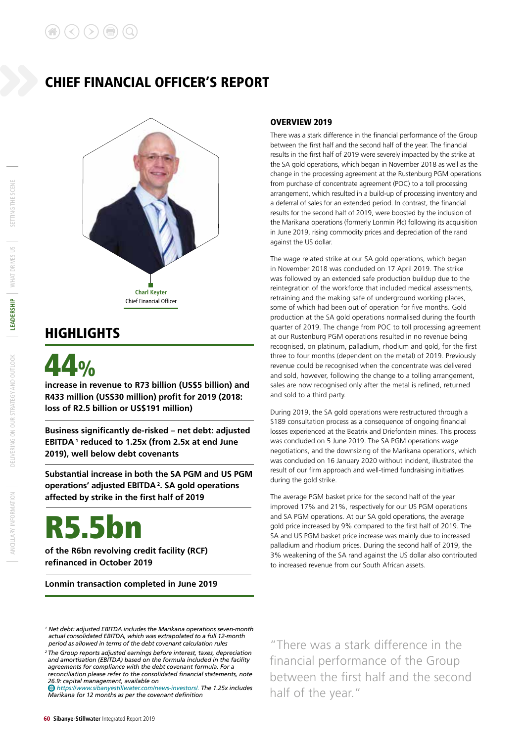# CHIEF FINANCIAL OFFICER'S REPORT



# **HIGHLIGHTS**



**increase in revenue to R73 billion (US\$5 billion) and R433 million (US\$30 million) profit for 2019 (2018: loss of R2.5 billion or US\$191 million)**

**Business significantly de-risked – net debt: adjusted EBITDA 1 reduced to 1.25x (from 2.5x at end June 2019), well below debt covenants**

**Substantial increase in both the SA PGM and US PGM operations' adjusted EBITDA 2. SA gold operations affected by strike in the first half of 2019**

# R5.5bn

**of the R6bn revolving credit facility (RCF) refinanced in October 2019**

**Lonmin transaction completed in June 2019**

## OVERVIEW 2019

There was a stark difference in the financial performance of the Group between the first half and the second half of the year. The financial results in the first half of 2019 were severely impacted by the strike at the SA gold operations, which began in November 2018 as well as the change in the processing agreement at the Rustenburg PGM operations from purchase of concentrate agreement (POC) to a toll processing arrangement, which resulted in a build-up of processing inventory and a deferral of sales for an extended period. In contrast, the financial results for the second half of 2019, were boosted by the inclusion of the Marikana operations (formerly Lonmin Plc) following its acquisition in June 2019, rising commodity prices and depreciation of the rand against the US dollar.

The wage related strike at our SA gold operations, which began in November 2018 was concluded on 17 April 2019. The strike was followed by an extended safe production buildup due to the reintegration of the workforce that included medical assessments, retraining and the making safe of underground working places, some of which had been out of operation for five months. Gold production at the SA gold operations normalised during the fourth quarter of 2019. The change from POC to toll processing agreement at our Rustenburg PGM operations resulted in no revenue being recognised, on platinum, palladium, rhodium and gold, for the first three to four months (dependent on the metal) of 2019. Previously revenue could be recognised when the concentrate was delivered and sold, however, following the change to a tolling arrangement, sales are now recognised only after the metal is refined, returned and sold to a third party.

During 2019, the SA gold operations were restructured through a S189 consultation process as a consequence of ongoing financial losses experienced at the Beatrix and Driefontein mines. This process was concluded on 5 June 2019. The SA PGM operations wage negotiations, and the downsizing of the Marikana operations, which was concluded on 16 January 2020 without incident, illustrated the result of our firm approach and well-timed fundraising initiatives during the gold strike.

The average PGM basket price for the second half of the year improved 17% and 21%, respectively for our US PGM operations and SA PGM operations. At our SA gold operations, the average gold price increased by 9% compared to the first half of 2019. The SA and US PGM basket price increase was mainly due to increased palladium and rhodium prices. During the second half of 2019, the 3% weakening of the SA rand against the US dollar also contributed to increased revenue from our South African assets.

*https://www.sibanyestillwater.com/news-investors/. The 1.25x includes Marikana for 12 months as per the covenant definition* 

"There was a stark difference in the financial performance of the Group between the first half and the second half of the year."

SETTING THE SCENE

*<sup>1</sup> Net debt: adjusted EBITDA includes the Marikana operations seven-month actual consolidated EBITDA, which was extrapolated to a full 12-month period as allowed in terms of the debt covenant calculation rules*

*<sup>2</sup> The Group reports adjusted earnings before interest, taxes, depreciation and amortisation (EBITDA) based on the formula included in the facility agreements for compliance with the debt covenant formula. For a reconciliation please refer to the consolidated financial statements, note 26.9: capital management, available on*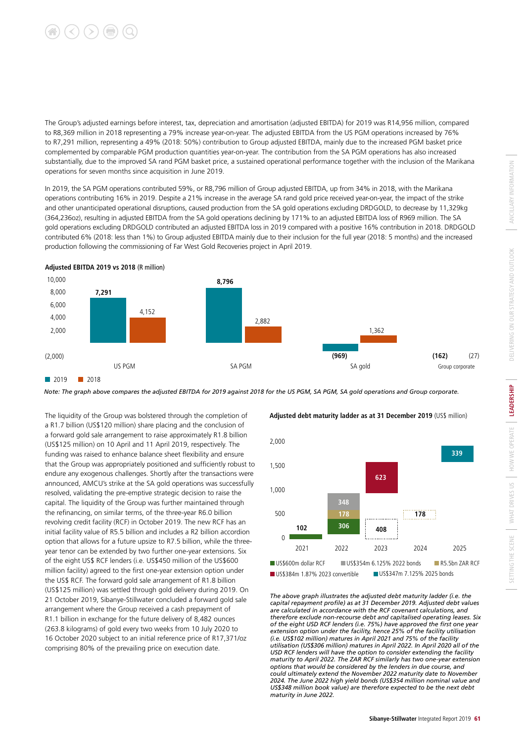

The Group's adjusted earnings before interest, tax, depreciation and amortisation (adjusted EBITDA) for 2019 was R14,956 million, compared to R8,369 million in 2018 representing a 79% increase year-on-year. The adjusted EBITDA from the US PGM operations increased by 76% to R7,291 million, representing a 49% (2018: 50%) contribution to Group adjusted EBITDA, mainly due to the increased PGM basket price complemented by comparable PGM production quantities year-on-year. The contribution from the SA PGM operations has also increased substantially, due to the improved SA rand PGM basket price, a sustained operational performance together with the inclusion of the Marikana operations for seven months since acquisition in June 2019.

In 2019, the SA PGM operations contributed 59%, or R8,796 million of Group adjusted EBITDA, up from 34% in 2018, with the Marikana operations contributing 16% in 2019. Despite a 21% increase in the average SA rand gold price received year-on-year, the impact of the strike and other unanticipated operational disruptions, caused production from the SA gold operations excluding DRDGOLD, to decrease by 11,329kg (364,236oz), resulting in adjusted EBITDA from the SA gold operations declining by 171% to an adjusted EBITDA loss of R969 million. The SA gold operations excluding DRDGOLD contributed an adjusted EBITDA loss in 2019 compared with a positive 16% contribution in 2018. DRDGOLD contributed 6% (2018: less than 1%) to Group adjusted EBITDA mainly due to their inclusion for the full year (2018: 5 months) and the increased production following the commissioning of Far West Gold Recoveries project in April 2019.



**Adjusted EBITDA 2019 vs 2018** (R million)

*Note: The graph above compares the adjusted EBITDA for 2019 against 2018 for the US PGM, SA PGM, SA gold operations and Group corporate.*

The liquidity of the Group was bolstered through the completion of a R1.7 billion (US\$120 million) share placing and the conclusion of a forward gold sale arrangement to raise approximately R1.8 billion (US\$125 million) on 10 April and 11 April 2019, respectively. The funding was raised to enhance balance sheet flexibility and ensure that the Group was appropriately positioned and sufficiently robust to endure any exogenous challenges. Shortly after the transactions were announced, AMCU's strike at the SA gold operations was successfully resolved, validating the pre-emptive strategic decision to raise the capital. The liquidity of the Group was further maintained through the refinancing, on similar terms, of the three-year R6.0 billion revolving credit facility (RCF) in October 2019. The new RCF has an initial facility value of R5.5 billion and includes a R2 billion accordion option that allows for a future upsize to R7.5 billion, while the threeyear tenor can be extended by two further one-year extensions. Six of the eight US\$ RCF lenders (i.e. US\$450 million of the US\$600 million facility) agreed to the first one-year extension option under the US\$ RCF. The forward gold sale arrangement of R1.8 billion (US\$125 million) was settled through gold delivery during 2019. On 21 October 2019, Sibanye-Stillwater concluded a forward gold sale arrangement where the Group received a cash prepayment of R1.1 billion in exchange for the future delivery of 8,482 ounces (263.8 kilograms) of gold every two weeks from 10 July 2020 to 16 October 2020 subject to an initial reference price of R17,371/oz comprising 80% of the prevailing price on execution date.

**Adjusted debt maturity ladder as at 31 December 2019** (US\$ million)



*The above graph illustrates the adjusted debt maturity ladder (i.e. the capital repayment profile) as at 31 December 2019. Adjusted debt values are calculated in accordance with the RCF covenant calculations, and therefore exclude non-recourse debt and capitalised operating leases. Six of the eight USD RCF lenders (i.e. 75%) have approved the first one year extension option under the facility, hence 25% of the facility utilisation (i.e. US\$102 million) matures in April 2021 and 75% of the facility utilisation (US\$306 million) matures in April 2022. In April 2020 all of the USD RCF lenders will have the option to consider extending the facility maturity to April 2022. The ZAR RCF similarly has two one-year extension options that would be considered by the lenders in due course, and could ultimately extend the November 2022 maturity date to November 2024. The June 2022 high yield bonds (US\$354 million nominal value and US\$348 million book value) are therefore expected to be the next debt maturity in June 2022.*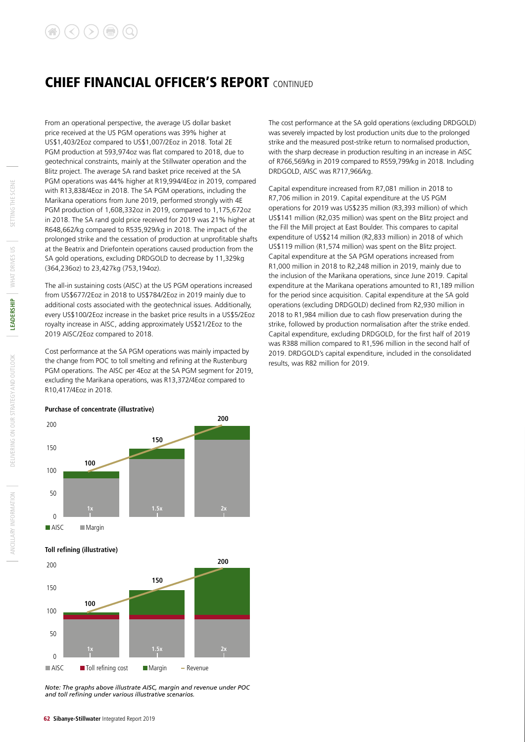# CHIEF FINANCIAL OFFICER'S REPORT CONTINUED

From an operational perspective, the average US dollar basket price received at the US PGM operations was 39% higher at US\$1,403/2Eoz compared to US\$1,007/2Eoz in 2018. Total 2E PGM production at 593,974oz was flat compared to 2018, due to geotechnical constraints, mainly at the Stillwater operation and the Blitz project. The average SA rand basket price received at the SA PGM operations was 44% higher at R19,994/4Eoz in 2019, compared with R13,838/4Eoz in 2018. The SA PGM operations, including the Marikana operations from June 2019, performed strongly with 4E PGM production of 1,608,332oz in 2019, compared to 1,175,672oz in 2018. The SA rand gold price received for 2019 was 21% higher at R648,662/kg compared to R535,929/kg in 2018. The impact of the prolonged strike and the cessation of production at unprofitable shafts at the Beatrix and Driefontein operations caused production from the SA gold operations, excluding DRDGOLD to decrease by 11,329kg (364,236oz) to 23,427kg (753,194oz).

The all-in sustaining costs (AISC) at the US PGM operations increased from US\$677/2Eoz in 2018 to US\$784/2Eoz in 2019 mainly due to additional costs associated with the geotechnical issues. Additionally, every US\$100/2Eoz increase in the basket price results in a US\$5/2Eoz royalty increase in AISC, adding approximately US\$21/2Eoz to the 2019 AISC/2Eoz compared to 2018.

Cost performance at the SA PGM operations was mainly impacted by the change from POC to toll smelting and refining at the Rustenburg PGM operations. The AISC per 4Eoz at the SA PGM segment for 2019, excluding the Marikana operations, was R13,372/4Eoz compared to R10,417/4Eoz in 2018.

The cost performance at the SA gold operations (excluding DRDGOLD) was severely impacted by lost production units due to the prolonged strike and the measured post-strike return to normalised production, with the sharp decrease in production resulting in an increase in AISC of R766,569/kg in 2019 compared to R559,799/kg in 2018. Including DRDGOLD, AISC was R717,966/kg.

Capital expenditure increased from R7,081 million in 2018 to R7,706 million in 2019. Capital expenditure at the US PGM operations for 2019 was US\$235 million (R3,393 million) of which US\$141 million (R2,035 million) was spent on the Blitz project and the Fill the Mill project at East Boulder. This compares to capital expenditure of US\$214 million (R2,833 million) in 2018 of which US\$119 million (R1,574 million) was spent on the Blitz project. Capital expenditure at the SA PGM operations increased from R1,000 million in 2018 to R2,248 million in 2019, mainly due to the inclusion of the Marikana operations, since June 2019. Capital expenditure at the Marikana operations amounted to R1,189 million for the period since acquisition. Capital expenditure at the SA gold operations (excluding DRDGOLD) declined from R2,930 million in 2018 to R1,984 million due to cash flow preservation during the strike, followed by production normalisation after the strike ended. Capital expenditure, excluding DRDGOLD, for the first half of 2019 was R388 million compared to R1,596 million in the second half of 2019. DRDGOLD's capital expenditure, included in the consolidated results, was R82 million for 2019.





#### **Toll refining (illustrative)**



*Note: The graphs above illustrate AISC, margin and revenue under POC and toll refining under various illustrative scenarios.*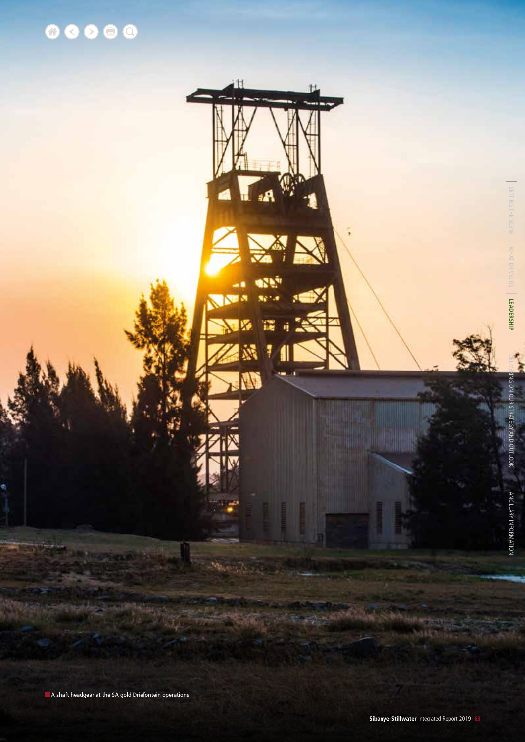

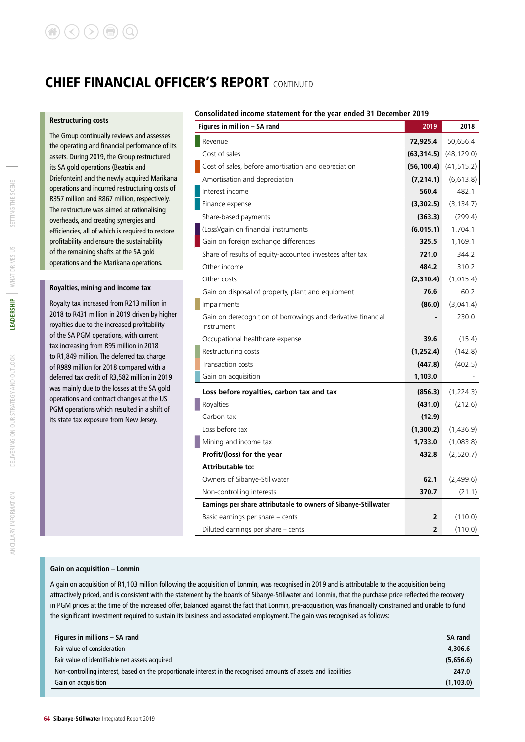# CHIEF FINANCIAL OFFICER'S REPORT CONTINUED

#### **Restructuring costs**

The Group continually reviews and assesses the operating and financial performance of its assets. During 2019, the Group restructured its SA gold operations (Beatrix and Driefontein) and the newly acquired Marikana operations and incurred restructuring costs of R357 million and R867 million, respectively. The restructure was aimed at rationalising overheads, and creating synergies and efficiencies, all of which is required to restore profitability and ensure the sustainability of the remaining shafts at the SA gold operations and the Marikana operations.

#### **Royalties, mining and income tax**

Royalty tax increased from R213 million in 2018 to R431 million in 2019 driven by higher royalties due to the increased profitability of the SA PGM operations, with current tax increasing from R95 million in 2018 to R1,849 million. The deferred tax charge of R989 million for 2018 compared with a deferred tax credit of R3,582 million in 2019 was mainly due to the losses at the SA gold operations and contract changes at the US PGM operations which resulted in a shift of its state tax exposure from New Jersey.

#### **Consolidated income statement for the year ended 31 December 2019**

| Figures in million - SA rand                                               | 2019           | 2018        |
|----------------------------------------------------------------------------|----------------|-------------|
| Revenue                                                                    | 72,925.4       | 50,656.4    |
| Cost of sales                                                              | (63, 314.5)    | (48, 129.0) |
| Cost of sales, before amortisation and depreciation                        | (56, 100.4)    | (41, 515.2) |
| Amortisation and depreciation                                              | (7, 214.1)     | (6,613.8)   |
| Interest income                                                            | 560.4          | 482.1       |
| Finance expense                                                            | (3,302.5)      | (3, 134.7)  |
| Share-based payments                                                       | (363.3)        | (299.4)     |
| (Loss)/gain on financial instruments                                       | (6,015.1)      | 1,704.1     |
| Gain on foreign exchange differences                                       | 325.5          | 1,169.1     |
| Share of results of equity-accounted investees after tax                   | 721.0          | 344.2       |
| Other income                                                               | 484.2          | 310.2       |
| Other costs                                                                | (2,310.4)      | (1,015.4)   |
| Gain on disposal of property, plant and equipment                          | 76.6           | 60.2        |
| Impairments                                                                | (86.0)         | (3,041.4)   |
| Gain on derecognition of borrowings and derivative financial<br>instrument |                | 230.0       |
| Occupational healthcare expense                                            | 39.6           | (15.4)      |
| Restructuring costs                                                        | (1, 252.4)     | (142.8)     |
| Transaction costs                                                          | (447.8)        | (402.5)     |
| Gain on acquisition                                                        | 1,103.0        |             |
| Loss before royalties, carbon tax and tax                                  | (856.3)        | (1,224.3)   |
| Royalties                                                                  | (431.0)        | (212.6)     |
| Carbon tax                                                                 | (12.9)         |             |
| Loss before tax                                                            | (1,300.2)      | (1,436.9)   |
| Mining and income tax                                                      | 1,733.0        | (1,083.8)   |
| Profit/(loss) for the year                                                 | 432.8          | (2,520.7)   |
| <b>Attributable to:</b>                                                    |                |             |
| Owners of Sibanye-Stillwater                                               | 62.1           | (2,499.6)   |
| Non-controlling interests                                                  | 370.7          | (21.1)      |
| Earnings per share attributable to owners of Sibanye-Stillwater            |                |             |
| Basic earnings per share - cents                                           | $\overline{2}$ | (110.0)     |
| Diluted earnings per share - cents                                         | 2              | (110.0)     |

#### **Gain on acquisition – Lonmin**

A gain on acquisition of R1,103 million following the acquisition of Lonmin, was recognised in 2019 and is attributable to the acquisition being attractively priced, and is consistent with the statement by the boards of Sibanye-Stillwater and Lonmin, that the purchase price reflected the recovery in PGM prices at the time of the increased offer, balanced against the fact that Lonmin, pre-acquisition, was financially constrained and unable to fund the significant investment required to sustain its business and associated employment. The gain was recognised as follows:

| Figures in millions – SA rand                                                                                     | <b>SA rand</b> |
|-------------------------------------------------------------------------------------------------------------------|----------------|
| Fair value of consideration                                                                                       | 4,306.6        |
| Fair value of identifiable net assets acquired                                                                    | (5,656.6)      |
| Non-controlling interest, based on the proportionate interest in the recognised amounts of assets and liabilities | 247.0          |
| Gain on acquisition                                                                                               | (1, 103.0)     |
|                                                                                                                   |                |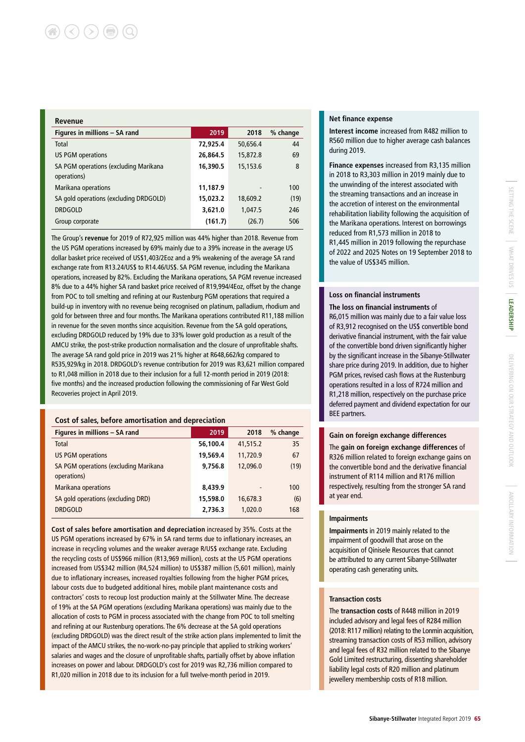| Revenue                                              |          |          |          |
|------------------------------------------------------|----------|----------|----------|
| Figures in millions - SA rand                        | 2019     | 2018     | % change |
| Total                                                | 72,925.4 | 50,656.4 | 44       |
| <b>US PGM operations</b>                             | 26,864.5 | 15,872.8 | 69       |
| SA PGM operations (excluding Marikana<br>operations) | 16,390.5 | 15,153.6 | 8        |
| Marikana operations                                  | 11,187.9 |          | 100      |
| SA gold operations (excluding DRDGOLD)               | 15,023.2 | 18,609.2 | (19)     |
| <b>DRDGOLD</b>                                       | 3,621.0  | 1,047.5  | 246      |
| Group corporate                                      | (161.7)  | (26.7)   | 506      |

The Group's **revenue** for 2019 of R72,925 million was 44% higher than 2018. Revenue from the US PGM operations increased by 69% mainly due to a 39% increase in the average US dollar basket price received of US\$1,403/2Eoz and a 9% weakening of the average SA rand exchange rate from R13.24/US\$ to R14.46/US\$. SA PGM revenue, including the Marikana operations, increased by 82%. Excluding the Marikana operations, SA PGM revenue increased 8% due to a 44% higher SA rand basket price received of R19,994/4Eoz, offset by the change from POC to toll smelting and refining at our Rustenburg PGM operations that required a build-up in inventory with no revenue being recognised on platinum, palladium, rhodium and gold for between three and four months. The Marikana operations contributed R11,188 million in revenue for the seven months since acquisition. Revenue from the SA gold operations, excluding DRDGOLD reduced by 19% due to 33% lower gold production as a result of the AMCU strike, the post-strike production normalisation and the closure of unprofitable shafts. The average SA rand gold price in 2019 was 21% higher at R648,662/kg compared to R535,929/kg in 2018. DRDGOLD's revenue contribution for 2019 was R3,621 million compared to R1,048 million in 2018 due to their inclusion for a full 12-month period in 2019 (2018: five months) and the increased production following the commissioning of Far West Gold Recoveries project in April 2019.

#### **Cost of sales, before amortisation and depreciation**

| Figures in millions - SA rand                        | 2019     | 2018     | % change |
|------------------------------------------------------|----------|----------|----------|
| Total                                                | 56,100.4 | 41,515.2 | 35       |
| <b>US PGM operations</b>                             | 19,569.4 | 11,720.9 | 67       |
| SA PGM operations (excluding Marikana<br>operations) | 9,756.8  | 12,096.0 | (19)     |
| <b>Marikana operations</b>                           | 8,439.9  | -        | 100      |
| SA gold operations (excluding DRD)                   | 15,598.0 | 16,678.3 | (6)      |
| <b>DRDGOLD</b>                                       | 2,736.3  | 1,020.0  | 168      |

**Cost of sales before amortisation and depreciation** increased by 35%. Costs at the US PGM operations increased by 67% in SA rand terms due to inflationary increases, an increase in recycling volumes and the weaker average R/US\$ exchange rate. Excluding the recycling costs of US\$966 million (R13,969 million), costs at the US PGM operations increased from US\$342 million (R4,524 million) to US\$387 million (5,601 million), mainly due to inflationary increases, increased royalties following from the higher PGM prices, labour costs due to budgeted additional hires, mobile plant maintenance costs and contractors' costs to recoup lost production mainly at the Stillwater Mine. The decrease of 19% at the SA PGM operations (excluding Marikana operations) was mainly due to the allocation of costs to PGM in process associated with the change from POC to toll smelting and refining at our Rustenburg operations. The 6% decrease at the SA gold operations (excluding DRDGOLD) was the direct result of the strike action plans implemented to limit the impact of the AMCU strikes, the no-work-no-pay principle that applied to striking workers' salaries and wages and the closure of unprofitable shafts, partially offset by above inflation increases on power and labour. DRDGOLD's cost for 2019 was R2,736 million compared to R1,020 million in 2018 due to its inclusion for a full twelve-month period in 2019.

#### **Net finance expense**

**Interest income** increased from R482 million to R560 million due to higher average cash balances during 2019.

**Finance expenses** increased from R3,135 million in 2018 to R3,303 million in 2019 mainly due to the unwinding of the interest associated with the streaming transactions and an increase in the accretion of interest on the environmental rehabilitation liability following the acquisition of the Marikana operations. Interest on borrowings reduced from R1,573 million in 2018 to R1,445 million in 2019 following the repurchase of 2022 and 2025 Notes on 19 September 2018 to the value of US\$345 million.

#### **Loss on financial instruments**

#### **The loss on financial instruments** of

R6,015 million was mainly due to a fair value loss of R3,912 recognised on the US\$ convertible bond derivative financial instrument, with the fair value of the convertible bond driven significantly higher by the significant increase in the Sibanye-Stillwater share price during 2019. In addition, due to higher PGM prices, revised cash flows at the Rustenburg operations resulted in a loss of R724 million and R1,218 million, respectively on the purchase price deferred payment and dividend expectation for our BEE partners.

## **Gain on foreign exchange differences** The **gain on foreign exchange differences** of

R326 million related to foreign exchange gains on the convertible bond and the derivative financial instrument of R114 million and R176 million respectively, resulting from the stronger SA rand at year end.

#### **Impairments**

**Impairments** in 2019 mainly related to the impairment of goodwill that arose on the acquisition of Qinisele Resources that cannot be attributed to any current Sibanye-Stillwater operating cash generating units.

#### **Transaction costs**

The **transaction costs** of R448 million in 2019 included advisory and legal fees of R284 million (2018: R117 million) relating to the Lonmin acquisition, streaming transaction costs of R53 million, advisory and legal fees of R32 million related to the Sibanye Gold Limited restructuring, dissenting shareholder liability legal costs of R20 million and platinum jewellery membership costs of R18 million.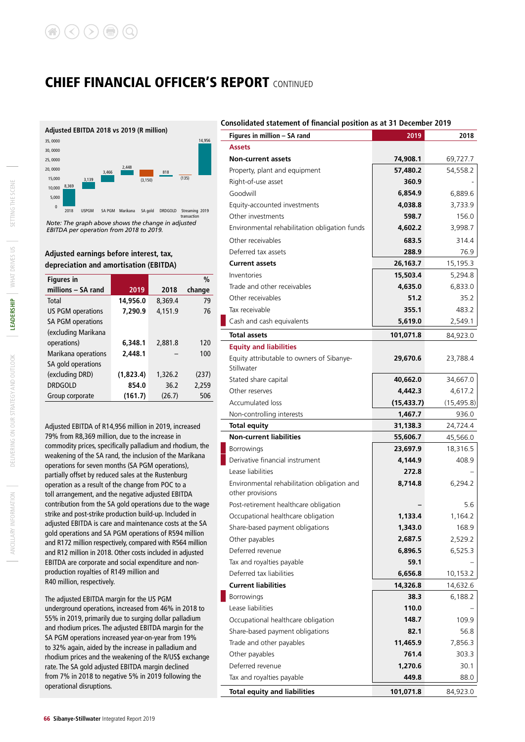# CHIEF FINANCIAL OFFICER'S REPORT CONTINUED



transaction *Note: The graph above shows the change in adjusted EBITDA per operation from 2018 to 2019.*

### **Adjusted earnings before interest, tax, depreciation and amortisation (EBITDA)**

| <b>Figures</b> in        |           |         | %      |
|--------------------------|-----------|---------|--------|
| millions - SA rand       | 2019      | 2018    | change |
| Total                    | 14,956.0  | 8.369.4 | 79     |
| <b>US PGM operations</b> | 7,290.9   | 4.151.9 | 76     |
| <b>SA PGM operations</b> |           |         |        |
| (excluding Marikana      |           |         |        |
| operations)              | 6,348.1   | 2.881.8 | 120    |
| Marikana operations      | 2,448.1   |         | 100    |
| SA gold operations       |           |         |        |
| (excluding DRD)          | (1,823.4) | 1,326.2 | (237)  |
| <b>DRDGOLD</b>           | 854.0     | 36.2    | 2,259  |
| Group corporate          | (161.7)   | (26.7)  | 506    |

Adjusted EBITDA of R14,956 million in 2019, increased 79% from R8,369 million, due to the increase in commodity prices, specifically palladium and rhodium, the weakening of the SA rand, the inclusion of the Marikana operations for seven months (SA PGM operations), partially offset by reduced sales at the Rustenburg operation as a result of the change from POC to a toll arrangement, and the negative adjusted EBITDA contribution from the SA gold operations due to the wage strike and post-strike production build-up. Included in adjusted EBITDA is care and maintenance costs at the SA gold operations and SA PGM operations of R594 million and R172 million respectively, compared with R564 million and R12 million in 2018. Other costs included in adjusted EBITDA are corporate and social expenditure and nonproduction royalties of R149 million and R40 million, respectively.

The adjusted EBITDA margin for the US PGM underground operations, increased from 46% in 2018 to 55% in 2019, primarily due to surging dollar palladium and rhodium prices. The adjusted EBITDA margin for the SA PGM operations increased year-on-year from 19% to 32% again, aided by the increase in palladium and rhodium prices and the weakening of the R/US\$ exchange rate. The SA gold adjusted EBITDA margin declined from 7% in 2018 to negative 5% in 2019 following the operational disruptions.

#### **Consolidated statement of financial position as at 31 December 2019**

| Figures in million - SA rand                                    | 2019        | 2018        |
|-----------------------------------------------------------------|-------------|-------------|
| <b>Assets</b>                                                   |             |             |
| <b>Non-current assets</b>                                       | 74,908.1    | 69,727.7    |
| Property, plant and equipment                                   | 57,480.2    | 54,558.2    |
| Right-of-use asset                                              | 360.9       |             |
| Goodwill                                                        | 6,854.9     | 6,889.6     |
| Equity-accounted investments                                    | 4,038.8     | 3,733.9     |
| Other investments                                               | 598.7       | 156.0       |
| Environmental rehabilitation obligation funds                   | 4,602.2     | 3,998.7     |
| Other receivables                                               | 683.5       | 314.4       |
| Deferred tax assets                                             | 288.9       | 76.9        |
| <b>Current assets</b>                                           | 26,163.7    | 15,195.3    |
| Inventories                                                     | 15,503.4    | 5,294.8     |
| Trade and other receivables                                     | 4,635.0     | 6,833.0     |
| Other receivables                                               | 51.2        | 35.2        |
| Tax receivable                                                  | 355.1       | 483.2       |
| Cash and cash equivalents                                       | 5,619.0     | 2,549.1     |
| <b>Total assets</b>                                             | 101,071.8   | 84,923.0    |
| <b>Equity and liabilities</b>                                   |             |             |
| Equity attributable to owners of Sibanye-<br>Stillwater         | 29,670.6    | 23,788.4    |
| Stated share capital                                            | 40,662.0    | 34,667.0    |
| Other reserves                                                  | 4,442.3     | 4,617.2     |
| <b>Accumulated loss</b>                                         | (15, 433.7) | (15, 495.8) |
| Non-controlling interests                                       | 1,467.7     | 936.0       |
| <b>Total equity</b>                                             | 31,138.3    | 24,724.4    |
| <b>Non-current liabilities</b>                                  | 55,606.7    | 45,566.0    |
| <b>Borrowings</b>                                               | 23,697.9    | 18,316.5    |
| Derivative financial instrument                                 | 4,144.9     | 408.9       |
| Lease liabilities                                               | 272.8       |             |
| Environmental rehabilitation obligation and<br>other provisions | 8,714.8     | 6,294.2     |
| Post-retirement healthcare obligation                           |             | 5.6         |
| Occupational healthcare obligation                              | 1,133.4     | 1,164.2     |
| Share-based payment obligations                                 | 1,343.0     | 168.9       |
| Other payables                                                  | 2,687.5     | 2,529.2     |
| Deferred revenue                                                | 6,896.5     | 6,525.3     |
| Tax and royalties payable                                       | 59.1        |             |
| Deferred tax liabilities                                        | 6,656.8     | 10,153.2    |
| <b>Current liabilities</b>                                      | 14,326.8    | 14,632.6    |
| Borrowings                                                      | 38.3        | 6,188.2     |
| Lease liabilities                                               | 110.0       |             |
| Occupational healthcare obligation                              | 148.7       | 109.9       |
| Share-based payment obligations                                 | 82.1        | 56.8        |
| Trade and other payables                                        | 11,465.9    | 7,856.3     |
| Other payables                                                  | 761.4       | 303.3       |
| Deferred revenue                                                | 1,270.6     | 30.1        |
| Tax and royalties payable                                       | 449.8       | 88.0        |
| <b>Total equity and liabilities</b>                             | 101,071.8   | 84,923.0    |